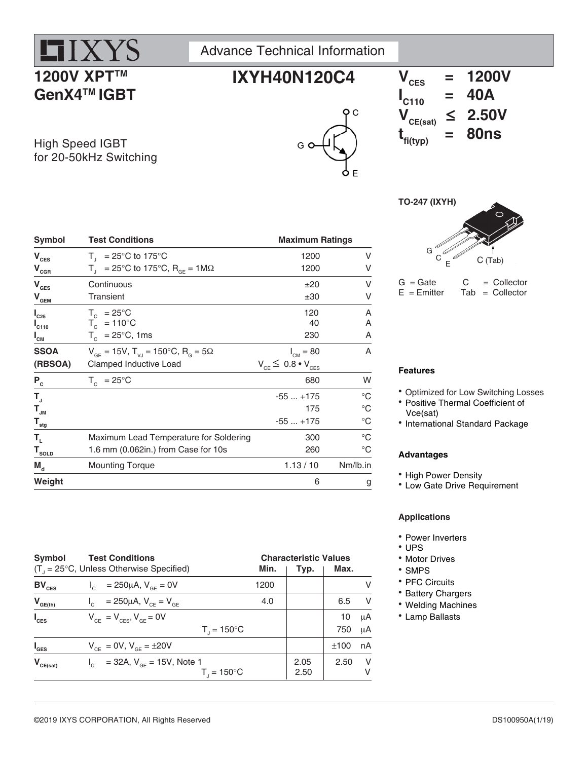# **HIX) 1200V XPT™ GenX4TM IGBT**

Advance Technical Information











 $G =$  Gate  $G =$  Collector<br>E = Emitter Tab = Collector  $Tab = Collector$ 

| Features |
|----------|
|          |

• Optimized for Low Switching Losses

- Positive Thermal Coefficient of Vce(sat)
- International Standard Package

### **Advantages**

- High Power Density
- Low Gate Drive Requirement

### **Applications**

- Power Inverters
- UPS
- Motor Drives
- SMPS
- PFC Circuits
- Battery Chargers
- Welding Machines
- Lamp Ballasts

| $\mathbf{V}_{\mathrm{CES}}$                                                       | $T_{1}$ = 25°C to 175°C                                       | 1200                            | ٧           |
|-----------------------------------------------------------------------------------|---------------------------------------------------------------|---------------------------------|-------------|
| $\mathbf{V}_{\underbar{\mathbf{G}}\stackrel{\mathbf{G}}{\underline{\mathbf{R}}}}$ | $T_{\text{I}}$ = 25°C to 175°C, R <sub>GF</sub> = 1M $\Omega$ | 1200                            | ٧           |
| $\mathbf{V}_{\texttt{GES}}$                                                       | Continuous                                                    | ±20                             | V           |
| $\mathbf{V}_{\mathbf{GEM}}$                                                       | Transient                                                     | ±30                             | v           |
| $I_{C25}$                                                                         | $T_c$ = 25°C                                                  | 120                             | Α           |
| $L_{C110}$                                                                        | $T_c = 110^{\circ}C$                                          | 40                              | Α           |
| $I_{\text{CM}}$                                                                   | $T_c$ = 25°C, 1ms                                             | 230                             | A           |
| <b>SSOA</b>                                                                       | $V_{GF} = 15V$ , $T_{V,I} = 150^{\circ}C$ , $R_{G} = 5\Omega$ | $I_{CM} = 80$                   | A           |
| (RBSOA)                                                                           | Clamped Inductive Load                                        | $V_{CF} \leq 0.8 \cdot V_{CES}$ |             |
| $P_c$                                                                             | $T_c = 25^{\circ}C$                                           | 680                             | W           |
| $T_{\rm J}$                                                                       |                                                               | $-55+175$                       | $^{\circ}C$ |
| $\mathsf{T}_{\mathsf{JM}}$                                                        |                                                               | 175                             | $^{\circ}C$ |
| $\mathbf{T}_{\underline{\mathsf{stg}}}$                                           |                                                               | $-55+175$                       | $^{\circ}C$ |
| Т,                                                                                | Maximum Lead Temperature for Soldering                        | 300                             | $^{\circ}C$ |
| $T_{\text{sOLD}}$                                                                 | 1.6 mm (0.062in.) from Case for 10s                           | 260                             | $^{\circ}C$ |
| $M_{d}$                                                                           | <b>Mounting Torque</b>                                        | 1.13 / 10                       | Nm/lb.in    |
| Weight                                                                            |                                                               | 6                               | g           |
|                                                                                   |                                                               |                                 |             |

Symbol Test Conditions **Maximum Ratings** 

| Symbol             | <b>Test Conditions</b><br>$(T_{1} = 25^{\circ}C,$ Unless Otherwise Specified) | Min. | <b>Characteristic Values</b> | Max. |          |
|--------------------|-------------------------------------------------------------------------------|------|------------------------------|------|----------|
|                    |                                                                               |      | Typ.                         |      |          |
| $BV_{CES}$         | $I_c = 250 \mu A$ , $V_{cF} = 0V$                                             | 1200 |                              |      | V        |
| $V_{GE(th)}$       | = 250µA, $V_{CE} = V_{GE}$                                                    | 4.0  |                              | 6.5  | <b>V</b> |
| $I_{\text{CES}}$   | $V_{CF} = V_{CFS}$ , $V_{GF} = 0V$                                            |      |                              | 10   | μA       |
|                    | $T_{1} = 150^{\circ}C$                                                        |      |                              | 750  | μA       |
| $I_{\texttt{GES}}$ | $V_{CF} = 0V$ , $V_{GF} = \pm 20V$                                            |      |                              | ±100 | nA       |
| $V_{CE(sat)}$      | $I_c$ = 32A, $V_{cF}$ = 15V, Note 1                                           |      | 2.05                         | 2.50 | - V      |
|                    | $T_{1} = 150^{\circ}C$                                                        |      | 2.50                         |      | v        |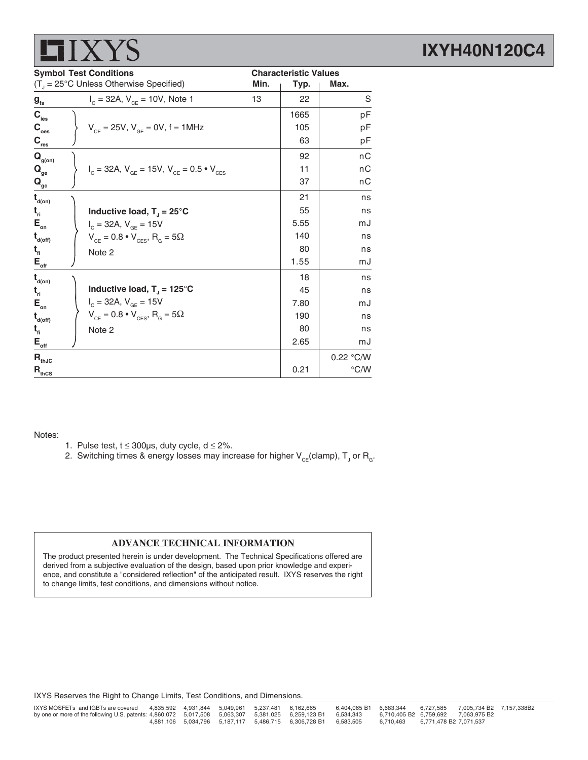|                                                             | Min.                                                                                                                            | Typ. | Max.                                   |
|-------------------------------------------------------------|---------------------------------------------------------------------------------------------------------------------------------|------|----------------------------------------|
| $I_c = 32A$ , $V_{CF} = 10V$ , Note 1                       | 13                                                                                                                              | 22   | S                                      |
|                                                             |                                                                                                                                 | 1665 | рF                                     |
| $V_{CF} = 25V$ , $V_{GF} = 0V$ , f = 1MHz                   |                                                                                                                                 | 105  | pF                                     |
|                                                             |                                                                                                                                 | 63   | рF                                     |
|                                                             |                                                                                                                                 | 92   | nC                                     |
| $I_c = 32A$ , $V_{GE} = 15V$ , $V_{CE} = 0.5 \cdot V_{CES}$ |                                                                                                                                 | 11   | nС                                     |
|                                                             |                                                                                                                                 | 37   | nС                                     |
|                                                             |                                                                                                                                 | 21   | ns                                     |
| Inductive load, $T_{J} = 25^{\circ}C$                       |                                                                                                                                 | 55   | ns                                     |
| $I_c = 32A, V_{GE} = 15V$                                   |                                                                                                                                 | 5.55 | mJ                                     |
| $V_{CE} = 0.8 \cdot V_{CES}$ , R <sub>G</sub> = 5 $\Omega$  |                                                                                                                                 | 140  | ns                                     |
| Note 2                                                      |                                                                                                                                 | 80   | ns                                     |
|                                                             |                                                                                                                                 | 1.55 | mJ                                     |
|                                                             |                                                                                                                                 | 18   | ns                                     |
| Inductive load, $T_{\text{I}} = 125^{\circ}C$               |                                                                                                                                 | 45   | ns                                     |
|                                                             |                                                                                                                                 | 7.80 | mJ                                     |
| $V_{CE} = 0.8 \cdot V_{CES}$ , R <sub>G</sub> = 5 $\Omega$  |                                                                                                                                 | 190  | ns                                     |
| Note 2                                                      |                                                                                                                                 | 80   | ns                                     |
|                                                             |                                                                                                                                 | 2.65 | mJ                                     |
|                                                             |                                                                                                                                 |      | 0.22 °C/W                              |
|                                                             |                                                                                                                                 | 0.21 | $\degree$ C/W                          |
|                                                             | <b>Symbol Test Conditions</b><br>$(T_{\text{J}} = 25^{\circ} \text{C}$ Unless Otherwise Specified)<br>$I_c = 32A, V_{GE} = 15V$ |      | 77 T Q<br><b>Characteristic Values</b> |

#### Notes:

**HIVVS** 

- 1. Pulse test,  $t \le 300 \mu s$ , duty cycle,  $d \le 2\%$ .
- 2. Switching times & energy losses may increase for higher  $\mathsf{V}_{\mathsf{CE}}$ (clamp),  $\mathsf{T}_{\mathsf{J}}$  or  $\mathsf{R}_{\mathsf{G}}$ .

#### **ADVANCE TECHNICAL INFORMATION**

The product presented herein is under development. The Technical Specifications offered are derived from a subjective evaluation of the design, based upon prior knowledge and experience, and constitute a "considered reflection" of the anticipated result. IXYS reserves the right to change limits, test conditions, and dimensions without notice.

IXYS Reserves the Right to Change Limits, Test Conditions, and Dimensions.

### **IXYH40N120C4**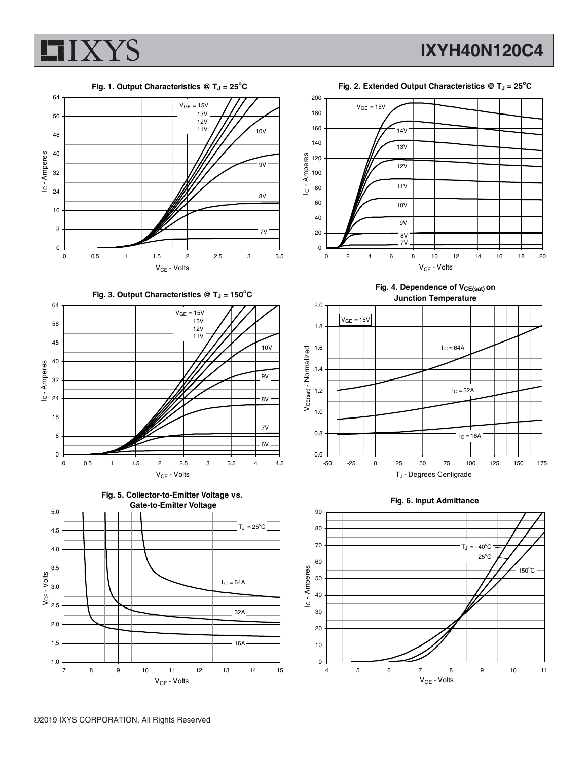

**Fig. 1. Output Characteristics @ TJ = 25<sup>o</sup> C** 64 200  $V<sub>GE</sub> = 15V$  13V 180 56 12V<br>11V 160 10V 48 140 Ic-Amperes 40 IC - Amperes Ic - Amperes IC - Amperes 120 9V 32 100 80 24 8V 60 16 40 8 7V 20 0 0 0 0.5 1 1.5 2 2.5 3 3.5  $V_{CE}$  - Volts **Fig. 3. Output Characteristics @ TJ = 150<sup>o</sup> C** 64 2.0  $V<sub>GE</sub> = 15V$  13V 56 1.8 12V 11V 48 10V 1.6 VCE(sat) - Normalized  $V$ CE(sat) -  $N$ ormalized 40 IC - Amperes 1.4  $9V$ 32 1.2 8V 24 1.0 16 7V 0.8 8 6V 0.6 0 0 0.5 1 1.5 2 2.5 3 3.5 4 4.5  $V_{CE}$  - Volts **Fig. 5. Collector-to-Emitter Voltage vs. Gate-to-Emitter Voltage** 5.0 90  $T_J = 25^{\circ}C$ 80 4.5 70 4.0



Fig. 4. Dependence of V<sub>CE(sat)</sub> on **Junction Temperature**





7 8 9 10 11 12 13 14 15 V<sub>GE</sub> - Volts

 $I_C = 64A$ 

32A

16A

1.0 1.5 2.0 2.5  $VCE - Volts$ <br> $3.0$ <br> $2.5$ 

3.5

 $V<sub>CE</sub>$  - Volts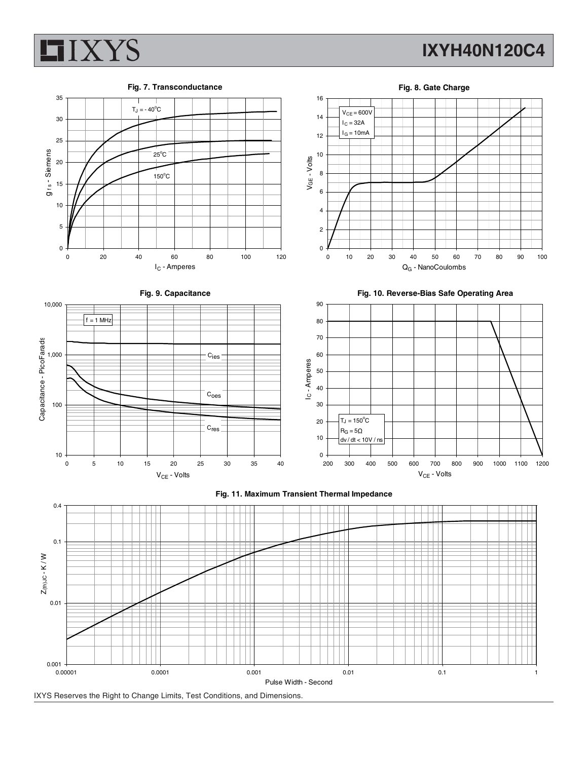

## **IXYH40N120C4**



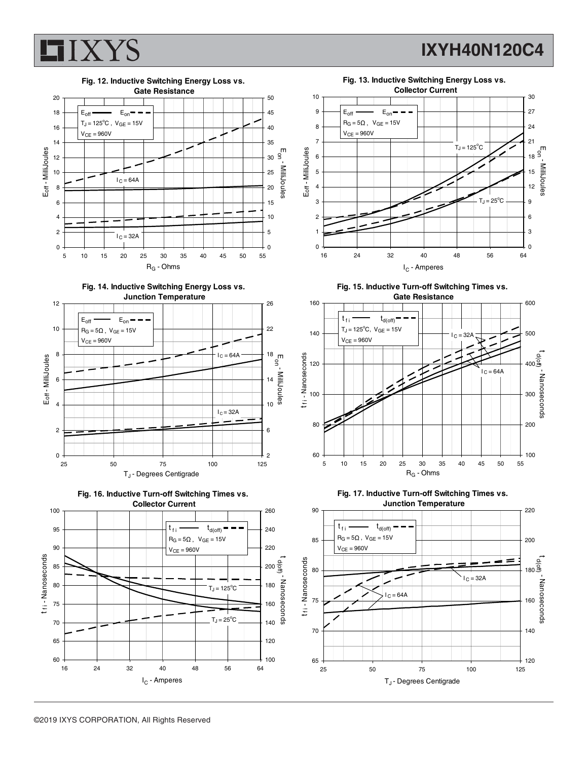

### **IXYH40N120C4**













**Fig. 15. Inductive Turn-off Switching Times vs. Gate Resistance**





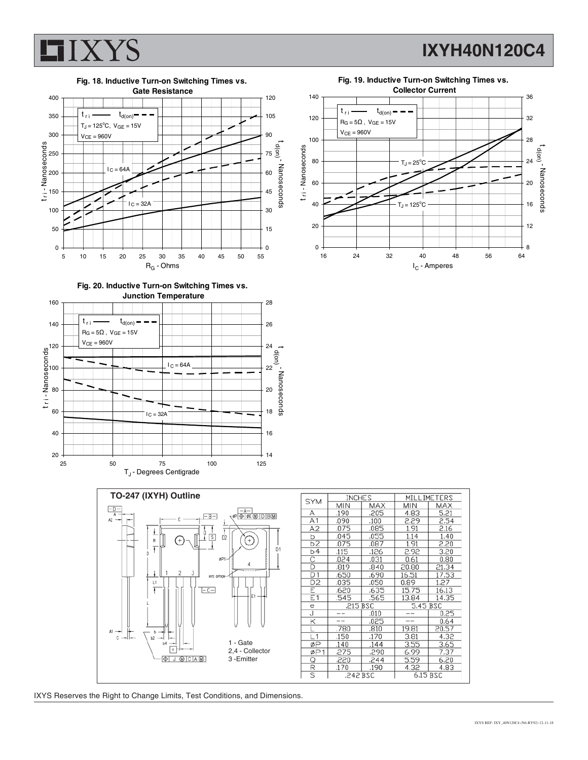

**IXYH40N120C4**





**Fig. 20. Inductive Turn-on Switching Times vs.**





| <b>SYM</b>              | <b>INCHES</b> |                      | MILLIMETERS |       |
|-------------------------|---------------|----------------------|-------------|-------|
|                         | <b>MIN</b>    | MAX                  | <b>MIN</b>  | MAX   |
| А                       | .190          | .205                 | 4.83        | 5.21  |
| A1                      | .090          | .100                 | 2.29        | 2.54  |
| A2                      | .075          | .085                 | 1.91        | 2.16  |
| b                       | .045          | .055                 | 1.14        | 1.40  |
| b2                      | .075          | .087                 | 1.91        | 2.20  |
| b4                      | .115          | .126                 | 2.92        | 3.20  |
| C                       | .024          | .031                 | 0.61        | 0.80  |
| D                       | .819          | .840                 | 20.80       | 21.34 |
| D <sub>1</sub>          | .650          | .690                 | 16.51       | 17.53 |
| $\overline{D2}$         | .035          | .050                 | 0.89        | 1.27  |
| Ε                       | .620          | .635                 | 15.75       | 16.13 |
| E1                      | .545          | .565                 | 13.84       | 14.35 |
| е                       | .215 BSC      |                      | 5.45 BSC    |       |
| J                       |               | .010                 |             | 0.25  |
| Κ                       |               | .025                 |             | 0.64  |
|                         | .780          | .810                 | 19.81       | 20.57 |
| L1                      | .150          | .170                 | 3.81        | 4.32  |
| øP                      | .140          | .144                 | 3.55        | 3.65  |
| ØP1                     | .275          | .290                 | 6.99        | 7.37  |
| Q                       | .220          | .244                 | 5.59        | 6.20  |
| R                       | .170          | .190                 | 4.32        | 4.83  |
| $\overline{\mathsf{s}}$ |               | 6.15 BSC<br>.242 BSC |             |       |

IXYS Reserves the Right to Change Limits, Test Conditions, and Dimensions.